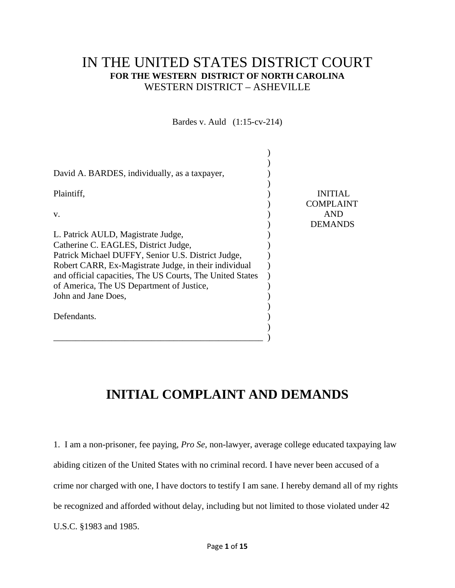# IN THE UNITED STATES DISTRICT COURT **FOR THE WESTERN DISTRICT OF NORTH CAROLINA**  WESTERN DISTRICT – ASHEVILLE

Bardes v. Auld (1:15-cv-214)

| David A. BARDES, individually, as a taxpayer,             |                  |
|-----------------------------------------------------------|------------------|
| Plaintiff,                                                | <b>INITIAL</b>   |
|                                                           | <b>COMPLAINT</b> |
| V.                                                        | <b>AND</b>       |
|                                                           | <b>DEMANDS</b>   |
| L. Patrick AULD, Magistrate Judge,                        |                  |
| Catherine C. EAGLES, District Judge,                      |                  |
| Patrick Michael DUFFY, Senior U.S. District Judge,        |                  |
| Robert CARR, Ex-Magistrate Judge, in their individual     |                  |
| and official capacities, The US Courts, The United States |                  |
| of America, The US Department of Justice,                 |                  |
| John and Jane Does,                                       |                  |
|                                                           |                  |
| Defendants.                                               |                  |
|                                                           |                  |
|                                                           |                  |

# **INITIAL COMPLAINT AND DEMANDS**

1. I am a non-prisoner, fee paying, *Pro Se*, non-lawyer, average college educated taxpaying law abiding citizen of the United States with no criminal record. I have never been accused of a crime nor charged with one, I have doctors to testify I am sane. I hereby demand all of my rights be recognized and afforded without delay, including but not limited to those violated under 42 U.S.C. §1983 and 1985.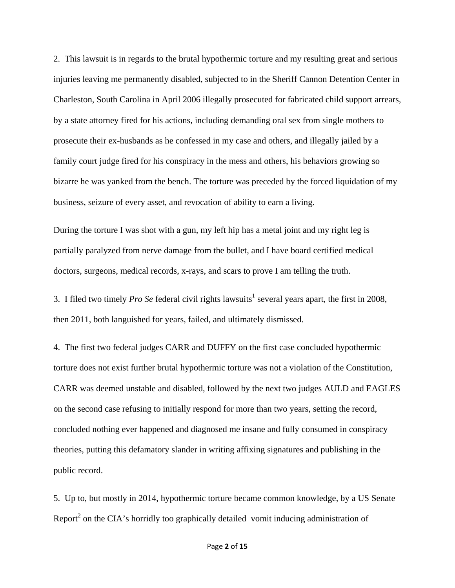2. This lawsuit is in regards to the brutal hypothermic torture and my resulting great and serious injuries leaving me permanently disabled, subjected to in the Sheriff Cannon Detention Center in Charleston, South Carolina in April 2006 illegally prosecuted for fabricated child support arrears, by a state attorney fired for his actions, including demanding oral sex from single mothers to prosecute their ex-husbands as he confessed in my case and others, and illegally jailed by a family court judge fired for his conspiracy in the mess and others, his behaviors growing so bizarre he was yanked from the bench. The torture was preceded by the forced liquidation of my business, seizure of every asset, and revocation of ability to earn a living.

During the torture I was shot with a gun, my left hip has a metal joint and my right leg is partially paralyzed from nerve damage from the bullet, and I have board certified medical doctors, surgeons, medical records, x-rays, and scars to prove I am telling the truth.

3. I filed two timely *Pro Se* federal civil rights lawsuits<sup>1</sup> several years apart, the first in 2008, then 2011, both languished for years, failed, and ultimately dismissed.

4. The first two federal judges CARR and DUFFY on the first case concluded hypothermic torture does not exist further brutal hypothermic torture was not a violation of the Constitution, CARR was deemed unstable and disabled, followed by the next two judges AULD and EAGLES on the second case refusing to initially respond for more than two years, setting the record, concluded nothing ever happened and diagnosed me insane and fully consumed in conspiracy theories, putting this defamatory slander in writing affixing signatures and publishing in the public record.

5. Up to, but mostly in 2014, hypothermic torture became common knowledge, by a US Senate Report<sup>2</sup> on the CIA's horridly too graphically detailed vomit inducing administration of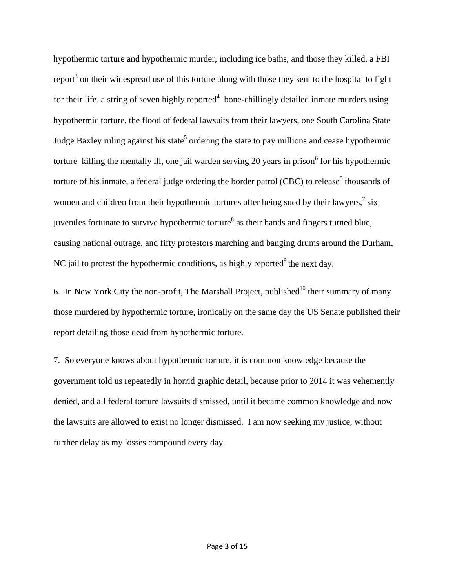hypothermic torture and hypothermic murder, including ice baths, and those they killed, a FBI report<sup>3</sup> on their widespread use of this torture along with those they sent to the hospital to fight for their life, a string of seven highly reported<sup>4</sup> bone-chillingly detailed inmate murders using hypothermic torture, the flood of federal lawsuits from their lawyers, one South Carolina State Judge Baxley ruling against his state<sup>5</sup> ordering the state to pay millions and cease hypothermic torture killing the mentally ill, one jail warden serving 20 years in prison<sup>6</sup> for his hypothermic torture of his inmate, a federal judge ordering the border patrol (CBC) to release<sup>6</sup> thousands of women and children from their hypothermic tortures after being sued by their lawyers, $\frac{7}{1}$  six juveniles fortunate to survive hypothermic torture<sup>8</sup> as their hands and fingers turned blue, causing national outrage, and fifty protestors marching and banging drums around the Durham, NC jail to protest the hypothermic conditions, as highly reported $9$  the next day.

6. In New York City the non-profit, The Marshall Project, published<sup>10</sup> their summary of many those murdered by hypothermic torture, ironically on the same day the US Senate published their report detailing those dead from hypothermic torture.

7. So everyone knows about hypothermic torture, it is common knowledge because the government told us repeatedly in horrid graphic detail, because prior to 2014 it was vehemently denied, and all federal torture lawsuits dismissed, until it became common knowledge and now the lawsuits are allowed to exist no longer dismissed. I am now seeking my justice, without further delay as my losses compound every day.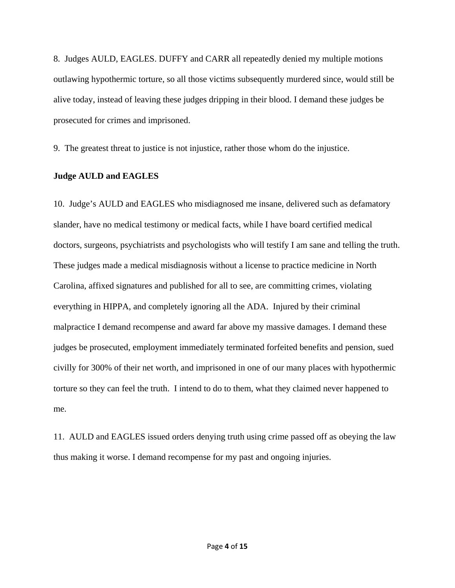8. Judges AULD, EAGLES. DUFFY and CARR all repeatedly denied my multiple motions outlawing hypothermic torture, so all those victims subsequently murdered since, would still be alive today, instead of leaving these judges dripping in their blood. I demand these judges be prosecuted for crimes and imprisoned.

9. The greatest threat to justice is not injustice, rather those whom do the injustice.

#### **Judge AULD and EAGLES**

10. Judge's AULD and EAGLES who misdiagnosed me insane, delivered such as defamatory slander, have no medical testimony or medical facts, while I have board certified medical doctors, surgeons, psychiatrists and psychologists who will testify I am sane and telling the truth. These judges made a medical misdiagnosis without a license to practice medicine in North Carolina, affixed signatures and published for all to see, are committing crimes, violating everything in HIPPA, and completely ignoring all the ADA. Injured by their criminal malpractice I demand recompense and award far above my massive damages. I demand these judges be prosecuted, employment immediately terminated forfeited benefits and pension, sued civilly for 300% of their net worth, and imprisoned in one of our many places with hypothermic torture so they can feel the truth. I intend to do to them, what they claimed never happened to me.

11. AULD and EAGLES issued orders denying truth using crime passed off as obeying the law thus making it worse. I demand recompense for my past and ongoing injuries.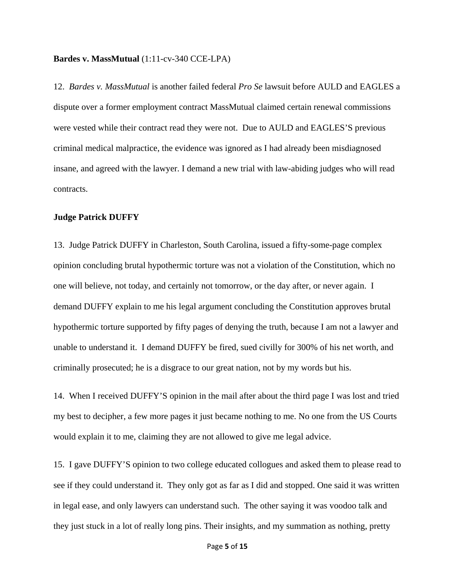#### **Bardes v. MassMutual** (1:11-cv-340 CCE-LPA)

12. *Bardes v. MassMutual* is another failed federal *Pro Se* lawsuit before AULD and EAGLES a dispute over a former employment contract MassMutual claimed certain renewal commissions were vested while their contract read they were not. Due to AULD and EAGLES'S previous criminal medical malpractice, the evidence was ignored as I had already been misdiagnosed insane, and agreed with the lawyer. I demand a new trial with law-abiding judges who will read contracts.

#### **Judge Patrick DUFFY**

13. Judge Patrick DUFFY in Charleston, South Carolina, issued a fifty-some-page complex opinion concluding brutal hypothermic torture was not a violation of the Constitution, which no one will believe, not today, and certainly not tomorrow, or the day after, or never again. I demand DUFFY explain to me his legal argument concluding the Constitution approves brutal hypothermic torture supported by fifty pages of denying the truth, because I am not a lawyer and unable to understand it. I demand DUFFY be fired, sued civilly for 300% of his net worth, and criminally prosecuted; he is a disgrace to our great nation, not by my words but his.

14. When I received DUFFY'S opinion in the mail after about the third page I was lost and tried my best to decipher, a few more pages it just became nothing to me. No one from the US Courts would explain it to me, claiming they are not allowed to give me legal advice.

15. I gave DUFFY'S opinion to two college educated collogues and asked them to please read to see if they could understand it. They only got as far as I did and stopped. One said it was written in legal ease, and only lawyers can understand such. The other saying it was voodoo talk and they just stuck in a lot of really long pins. Their insights, and my summation as nothing, pretty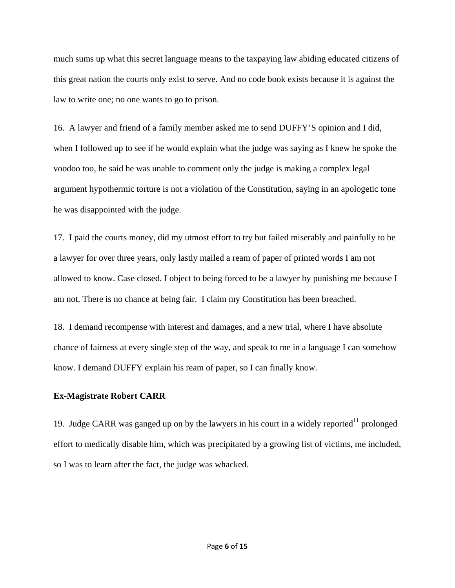much sums up what this secret language means to the taxpaying law abiding educated citizens of this great nation the courts only exist to serve. And no code book exists because it is against the law to write one; no one wants to go to prison.

16. A lawyer and friend of a family member asked me to send DUFFY'S opinion and I did, when I followed up to see if he would explain what the judge was saying as I knew he spoke the voodoo too, he said he was unable to comment only the judge is making a complex legal argument hypothermic torture is not a violation of the Constitution, saying in an apologetic tone he was disappointed with the judge.

17. I paid the courts money, did my utmost effort to try but failed miserably and painfully to be a lawyer for over three years, only lastly mailed a ream of paper of printed words I am not allowed to know. Case closed. I object to being forced to be a lawyer by punishing me because I am not. There is no chance at being fair. I claim my Constitution has been breached.

18. I demand recompense with interest and damages, and a new trial, where I have absolute chance of fairness at every single step of the way, and speak to me in a language I can somehow know. I demand DUFFY explain his ream of paper, so I can finally know.

#### **Ex-Magistrate Robert CARR**

19. Judge CARR was ganged up on by the lawyers in his court in a widely reported<sup>11</sup> prolonged effort to medically disable him, which was precipitated by a growing list of victims, me included, so I was to learn after the fact, the judge was whacked.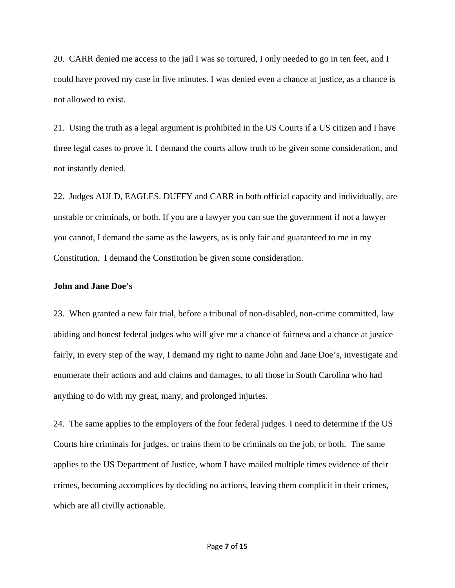20. CARR denied me access to the jail I was so tortured, I only needed to go in ten feet, and I could have proved my case in five minutes. I was denied even a chance at justice, as a chance is not allowed to exist.

21. Using the truth as a legal argument is prohibited in the US Courts if a US citizen and I have three legal cases to prove it. I demand the courts allow truth to be given some consideration, and not instantly denied.

22. Judges AULD, EAGLES. DUFFY and CARR in both official capacity and individually, are unstable or criminals, or both. If you are a lawyer you can sue the government if not a lawyer you cannot, I demand the same as the lawyers, as is only fair and guaranteed to me in my Constitution. I demand the Constitution be given some consideration.

### **John and Jane Doe's**

23. When granted a new fair trial, before a tribunal of non-disabled, non-crime committed, law abiding and honest federal judges who will give me a chance of fairness and a chance at justice fairly, in every step of the way, I demand my right to name John and Jane Doe's, investigate and enumerate their actions and add claims and damages, to all those in South Carolina who had anything to do with my great, many, and prolonged injuries.

24. The same applies to the employers of the four federal judges. I need to determine if the US Courts hire criminals for judges, or trains them to be criminals on the job, or both. The same applies to the US Department of Justice, whom I have mailed multiple times evidence of their crimes, becoming accomplices by deciding no actions, leaving them complicit in their crimes, which are all civilly actionable.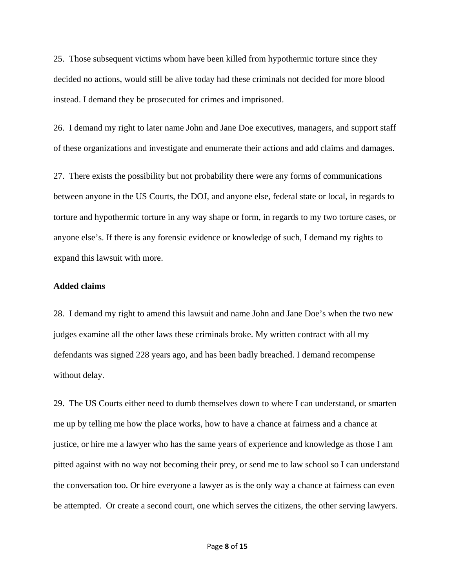25. Those subsequent victims whom have been killed from hypothermic torture since they decided no actions, would still be alive today had these criminals not decided for more blood instead. I demand they be prosecuted for crimes and imprisoned.

26. I demand my right to later name John and Jane Doe executives, managers, and support staff of these organizations and investigate and enumerate their actions and add claims and damages.

27. There exists the possibility but not probability there were any forms of communications between anyone in the US Courts, the DOJ, and anyone else, federal state or local, in regards to torture and hypothermic torture in any way shape or form, in regards to my two torture cases, or anyone else's. If there is any forensic evidence or knowledge of such, I demand my rights to expand this lawsuit with more.

## **Added claims**

28. I demand my right to amend this lawsuit and name John and Jane Doe's when the two new judges examine all the other laws these criminals broke. My written contract with all my defendants was signed 228 years ago, and has been badly breached. I demand recompense without delay.

29. The US Courts either need to dumb themselves down to where I can understand, or smarten me up by telling me how the place works, how to have a chance at fairness and a chance at justice, or hire me a lawyer who has the same years of experience and knowledge as those I am pitted against with no way not becoming their prey, or send me to law school so I can understand the conversation too. Or hire everyone a lawyer as is the only way a chance at fairness can even be attempted. Or create a second court, one which serves the citizens, the other serving lawyers.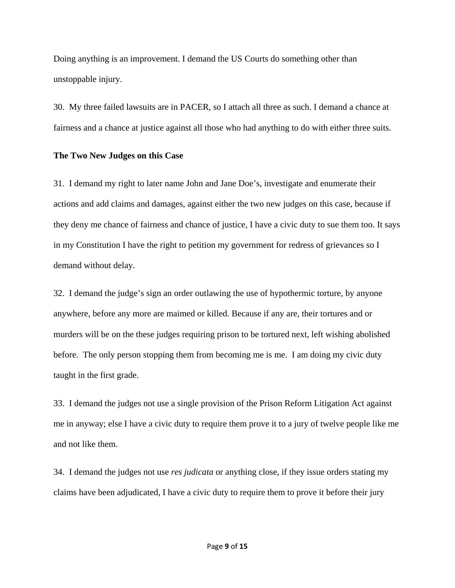Doing anything is an improvement. I demand the US Courts do something other than unstoppable injury.

30. My three failed lawsuits are in PACER, so I attach all three as such. I demand a chance at fairness and a chance at justice against all those who had anything to do with either three suits.

#### **The Two New Judges on this Case**

31. I demand my right to later name John and Jane Doe's, investigate and enumerate their actions and add claims and damages, against either the two new judges on this case, because if they deny me chance of fairness and chance of justice, I have a civic duty to sue them too. It says in my Constitution I have the right to petition my government for redress of grievances so I demand without delay.

32. I demand the judge's sign an order outlawing the use of hypothermic torture, by anyone anywhere, before any more are maimed or killed. Because if any are, their tortures and or murders will be on the these judges requiring prison to be tortured next, left wishing abolished before. The only person stopping them from becoming me is me. I am doing my civic duty taught in the first grade.

33. I demand the judges not use a single provision of the Prison Reform Litigation Act against me in anyway; else I have a civic duty to require them prove it to a jury of twelve people like me and not like them.

34. I demand the judges not use *res judicata* or anything close, if they issue orders stating my claims have been adjudicated, I have a civic duty to require them to prove it before their jury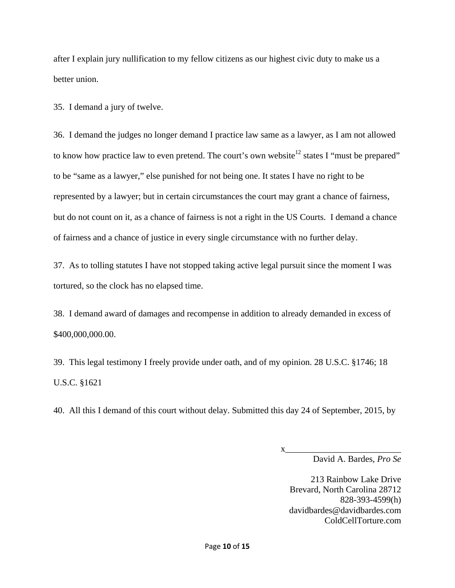after I explain jury nullification to my fellow citizens as our highest civic duty to make us a better union.

35. I demand a jury of twelve.

36. I demand the judges no longer demand I practice law same as a lawyer, as I am not allowed to know how practice law to even pretend. The court's own website<sup>12</sup> states I "must be prepared" to be "same as a lawyer," else punished for not being one. It states I have no right to be represented by a lawyer; but in certain circumstances the court may grant a chance of fairness, but do not count on it, as a chance of fairness is not a right in the US Courts. I demand a chance of fairness and a chance of justice in every single circumstance with no further delay.

37. As to tolling statutes I have not stopped taking active legal pursuit since the moment I was tortured, so the clock has no elapsed time.

38. I demand award of damages and recompense in addition to already demanded in excess of \$400,000,000.00.

39. This legal testimony I freely provide under oath, and of my opinion. 28 U.S.C. §1746; 18 U.S.C. §1621

40. All this I demand of this court without delay. Submitted this day 24 of September, 2015, by

David A. Bardes, *Pro Se* 

213 Rainbow Lake Drive Brevard, North Carolina 28712 828-393-4599(h) davidbardes@davidbardes.com ColdCellTorture.com

x\_\_\_\_\_\_\_\_\_\_\_\_\_\_\_\_\_\_\_\_\_\_\_\_\_\_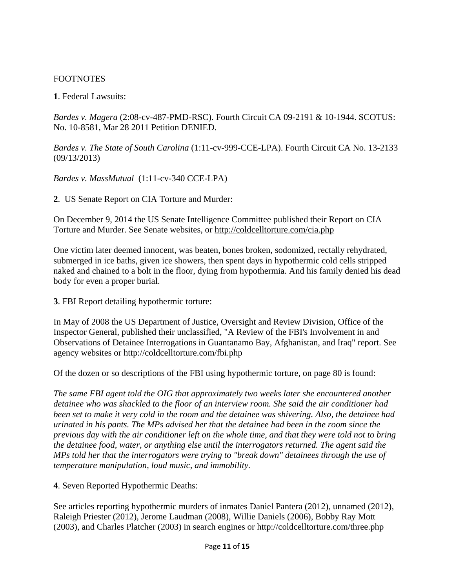# **FOOTNOTES**

**1**. Federal Lawsuits:

*Bardes v. Magera* (2:08-cv-487-PMD-RSC). Fourth Circuit CA 09-2191 & 10-1944. SCOTUS: No. 10-8581, Mar 28 2011 Petition DENIED.

*Bardes v. The State of South Carolina* (1:11-cv-999-CCE-LPA). Fourth Circuit CA No. 13-2133 (09/13/2013)

*Bardes v. MassMutual* (1:11-cv-340 CCE-LPA)

**2**. US Senate Report on CIA Torture and Murder:

On December 9, 2014 the US Senate Intelligence Committee published their Report on CIA Torture and Murder. See Senate websites, or http://coldcelltorture.com/cia.php

One victim later deemed innocent, was beaten, bones broken, sodomized, rectally rehydrated, submerged in ice baths, given ice showers, then spent days in hypothermic cold cells stripped naked and chained to a bolt in the floor, dying from hypothermia. And his family denied his dead body for even a proper burial.

**3**. FBI Report detailing hypothermic torture:

In May of 2008 the US Department of Justice, Oversight and Review Division, Office of the Inspector General, published their unclassified, "A Review of the FBI's Involvement in and Observations of Detainee Interrogations in Guantanamo Bay, Afghanistan, and Iraq" report. See agency websites or http://coldcelltorture.com/fbi.php

Of the dozen or so descriptions of the FBI using hypothermic torture, on page 80 is found:

*The same FBI agent told the OIG that approximately two weeks later she encountered another detainee who was shackled to the floor of an interview room. She said the air conditioner had been set to make it very cold in the room and the detainee was shivering. Also, the detainee had urinated in his pants. The MPs advised her that the detainee had been in the room since the previous day with the air conditioner left on the whole time, and that they were told not to bring the detainee food, water, or anything else until the interrogators returned. The agent said the MPs told her that the interrogators were trying to "break down" detainees through the use of temperature manipulation, loud music, and immobility.* 

**4**. Seven Reported Hypothermic Deaths:

See articles reporting hypothermic murders of inmates Daniel Pantera (2012), unnamed (2012), Raleigh Priester (2012), Jerome Laudman (2008), Willie Daniels (2006), Bobby Ray Mott (2003), and Charles Platcher (2003) in search engines or http://coldcelltorture.com/three.php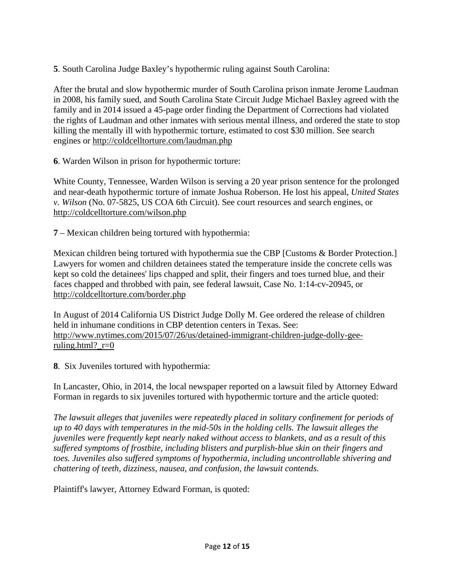**5**. South Carolina Judge Baxley's hypothermic ruling against South Carolina:

After the brutal and slow hypothermic murder of South Carolina prison inmate Jerome Laudman in 2008, his family sued, and South Carolina State Circuit Judge Michael Baxley agreed with the family and in 2014 issued a 45-page order finding the Department of Corrections had violated the rights of Laudman and other inmates with serious mental illness, and ordered the state to stop killing the mentally ill with hypothermic torture, estimated to cost \$30 million. See search engines or http://coldcelltorture.com/laudman.php

**6**. Warden Wilson in prison for hypothermic torture:

White County, Tennessee, Warden Wilson is serving a 20 year prison sentence for the prolonged and near-death hypothermic torture of inmate Joshua Roberson. He lost his appeal, *United States v. Wilson* (No. 07-5825, US COA 6th Circuit). See court resources and search engines, or http://coldcelltorture.com/wilson.php

**7** – Mexican children being tortured with hypothermia:

Mexican children being tortured with hypothermia sue the CBP [Customs & Border Protection.] Lawyers for women and children detainees stated the temperature inside the concrete cells was kept so cold the detainees' lips chapped and split, their fingers and toes turned blue, and their faces chapped and throbbed with pain, see federal lawsuit, Case No. 1:14-cv-20945, or http://coldcelltorture.com/border.php

In August of 2014 California US District Judge Dolly M. Gee ordered the release of children held in inhumane conditions in CBP detention centers in Texas. See: http://www.nytimes.com/2015/07/26/us/detained-immigrant-children-judge-dolly-geeruling.html? $r=0$ 

**8**. Six Juveniles tortured with hypothermia:

In Lancaster, Ohio, in 2014, the local newspaper reported on a lawsuit filed by Attorney Edward Forman in regards to six juveniles tortured with hypothermic torture and the article quoted:

*The lawsuit alleges that juveniles were repeatedly placed in solitary confinement for periods of up to 40 days with temperatures in the mid-50s in the holding cells. The lawsuit alleges the juveniles were frequently kept nearly naked without access to blankets, and as a result of this suffered symptoms of frostbite, including blisters and purplish-blue skin on their fingers and toes. Juveniles also suffered symptoms of hypothermia, including uncontrollable shivering and chattering of teeth, dizziness, nausea, and confusion, the lawsuit contends.* 

Plaintiff's lawyer, Attorney Edward Forman, is quoted: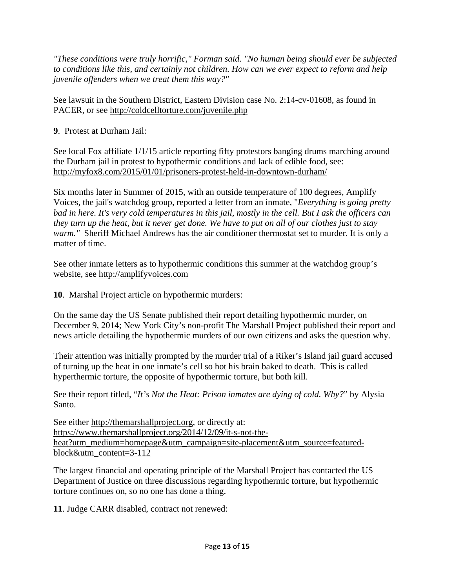*"These conditions were truly horrific," Forman said. "No human being should ever be subjected to conditions like this, and certainly not children. How can we ever expect to reform and help juvenile offenders when we treat them this way?"*

See lawsuit in the Southern District, Eastern Division case No. 2:14-cv-01608, as found in PACER, or see http://coldcelltorture.com/juvenile.php

**9**. Protest at Durham Jail:

See local Fox affiliate 1/1/15 article reporting fifty protestors banging drums marching around the Durham jail in protest to hypothermic conditions and lack of edible food, see: http://myfox8.com/2015/01/01/prisoners-protest-held-in-downtown-durham/

Six months later in Summer of 2015, with an outside temperature of 100 degrees, Amplify Voices, the jail's watchdog group, reported a letter from an inmate, "*Everything is going pretty bad in here. It's very cold temperatures in this jail, mostly in the cell. But I ask the officers can they turn up the heat, but it never get done. We have to put on all of our clothes just to stay warm."* Sheriff Michael Andrews has the air conditioner thermostat set to murder. It is only a matter of time.

See other inmate letters as to hypothermic conditions this summer at the watchdog group's website, see http://amplifyvoices.com

**10**. Marshal Project article on hypothermic murders:

On the same day the US Senate published their report detailing hypothermic murder, on December 9, 2014; New York City's non-profit The Marshall Project published their report and news article detailing the hypothermic murders of our own citizens and asks the question why.

Their attention was initially prompted by the murder trial of a Riker's Island jail guard accused of turning up the heat in one inmate's cell so hot his brain baked to death. This is called hyperthermic torture, the opposite of hypothermic torture, but both kill.

See their report titled, "*It's Not the Heat: Prison inmates are dying of cold. Why?*" by Alysia Santo.

See either http://themarshallproject.org, or directly at: https://www.themarshallproject.org/2014/12/09/it-s-not-theheat?utm\_medium=homepage&utm\_campaign=site-placement&utm\_source=featuredblock&utm\_content=3-112

The largest financial and operating principle of the Marshall Project has contacted the US Department of Justice on three discussions regarding hypothermic torture, but hypothermic torture continues on, so no one has done a thing.

**11**. Judge CARR disabled, contract not renewed: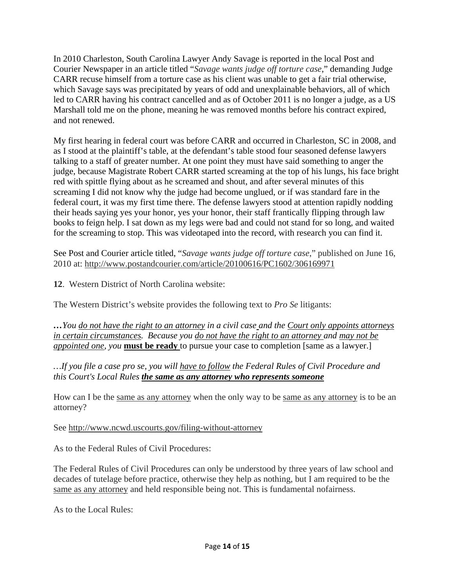In 2010 Charleston, South Carolina Lawyer Andy Savage is reported in the local Post and Courier Newspaper in an article titled "*Savage wants judge off torture case*," demanding Judge CARR recuse himself from a torture case as his client was unable to get a fair trial otherwise, which Savage says was precipitated by years of odd and unexplainable behaviors, all of which led to CARR having his contract cancelled and as of October 2011 is no longer a judge, as a US Marshall told me on the phone, meaning he was removed months before his contract expired, and not renewed.

My first hearing in federal court was before CARR and occurred in Charleston, SC in 2008, and as I stood at the plaintiff's table, at the defendant's table stood four seasoned defense lawyers talking to a staff of greater number. At one point they must have said something to anger the judge, because Magistrate Robert CARR started screaming at the top of his lungs, his face bright red with spittle flying about as he screamed and shout, and after several minutes of this screaming I did not know why the judge had become unglued, or if was standard fare in the federal court, it was my first time there. The defense lawyers stood at attention rapidly nodding their heads saying yes your honor, yes your honor, their staff frantically flipping through law books to feign help. I sat down as my legs were bad and could not stand for so long, and waited for the screaming to stop. This was videotaped into the record, with research you can find it.

See Post and Courier article titled, "*Savage wants judge off torture case*," published on June 16, 2010 at: http://www.postandcourier.com/article/20100616/PC1602/306169971

**12**. Western District of North Carolina website:

The Western District's website provides the following text to *Pro Se* litigants:

*…You do not have the right to an attorney in a civil case and the Court only appoints attorneys in certain circumstances. Because you do not have the right to an attorney and may not be appointed one, you* **must be ready** to pursue your case to completion [same as a lawyer.]

*…If you file a case pro se, you will have to follow the Federal Rules of Civil Procedure and this Court's Local Rules the same as any attorney who represents someone*

How can I be the same as any attorney when the only way to be same as any attorney is to be an attorney?

See http://www.ncwd.uscourts.gov/filing-without-attorney

As to the Federal Rules of Civil Procedures:

The Federal Rules of Civil Procedures can only be understood by three years of law school and decades of tutelage before practice, otherwise they help as nothing, but I am required to be the same as any attorney and held responsible being not. This is fundamental nofairness.

As to the Local Rules: